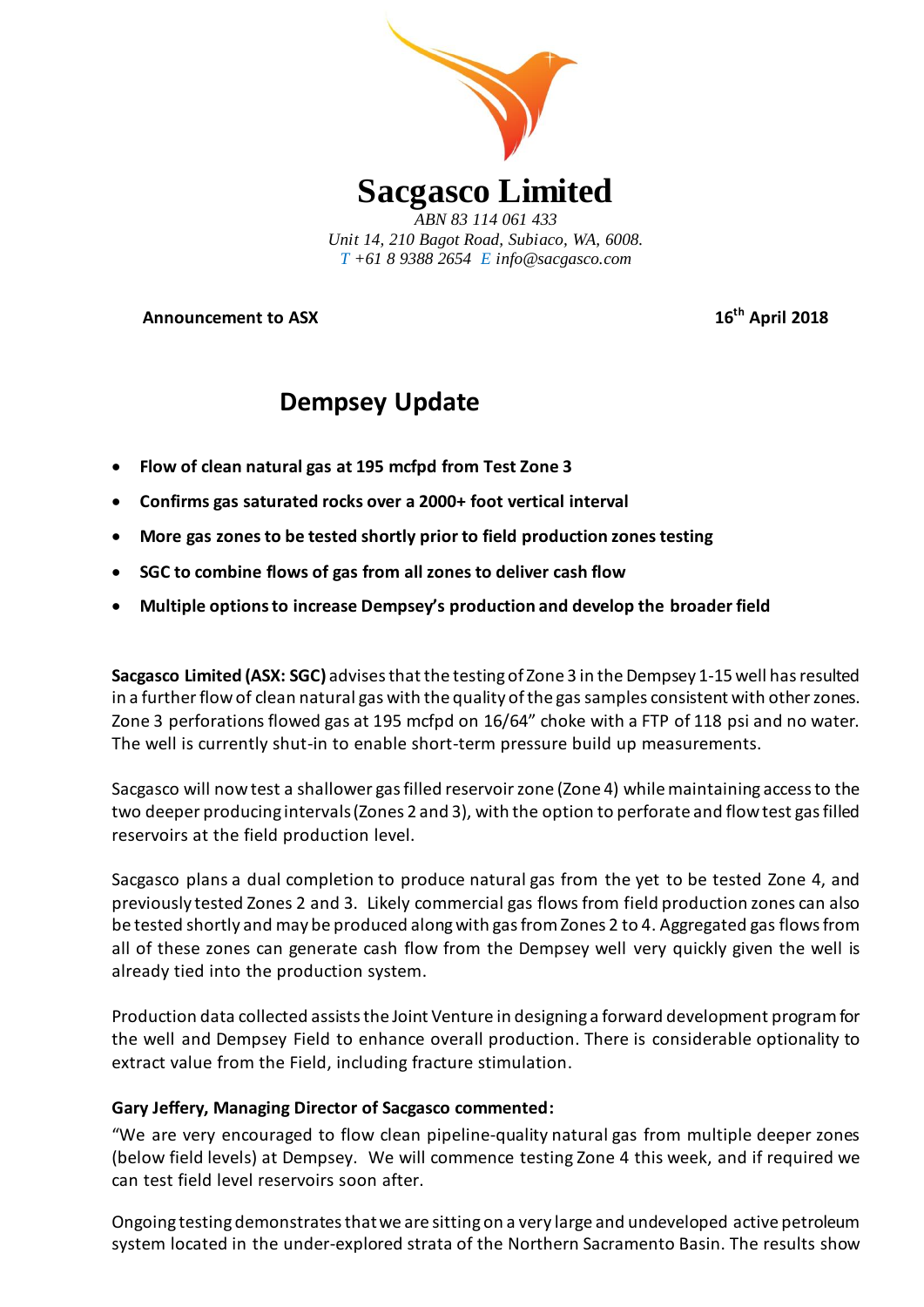

*Unit 14, 210 Bagot Road, Subiaco, WA, 6008. T +61 8 9388 2654 E info@sacgasco.com*

**Announcement to ASX 16th April 2018**

# **Dempsey Update**

- **Flow of clean natural gas at 195 mcfpd from Test Zone 3**
- **Confirms gas saturated rocks over a 2000+ foot vertical interval**
- **More gas zones to be tested shortly prior to field production zones testing**
- **SGC to combine flows of gas from all zones to deliver cash flow**
- **Multiple options to increase Dempsey's production and develop the broader field**

**Sacgasco Limited (ASX: SGC)** advisesthat the testing of Zone 3 in the Dempsey 1-15 well has resulted in a further flow of clean natural gas with the quality of the gas samples consistent with other zones. Zone 3 perforations flowed gas at 195 mcfpd on 16/64" choke with a FTP of 118 psi and no water. The well is currently shut-in to enable short-term pressure build up measurements.

Sacgasco will nowtest a shallower gas filled reservoirzone (Zone 4) while maintaining access to the two deeper producing intervals(Zones 2 and 3), with the option to perforate and flow test gas filled reservoirs at the field production level.

Sacgasco plans a dual completion to produce natural gas from the yet to be tested Zone 4, and previously tested Zones 2 and 3. Likely commercial gas flows from field production zones can also be tested shortly and may be produced along with gas from Zones 2 to 4. Aggregated gas flows from all of these zones can generate cash flow from the Dempsey well very quickly given the well is already tied into the production system.

Production data collected assists the Joint Venture in designing a forward development program for the well and Dempsey Field to enhance overall production. There is considerable optionality to extract value from the Field, including fracture stimulation.

# **Gary Jeffery, Managing Director of Sacgasco commented:**

"We are very encouraged to flow clean pipeline-quality natural gas from multiple deeper zones (below field levels) at Dempsey. We will commence testing Zone 4 this week, and if required we can test field level reservoirs soon after.

Ongoing testing demonstratesthat we are sitting on a very large and undeveloped active petroleum system located in the under-explored strata of the Northern Sacramento Basin. The results show